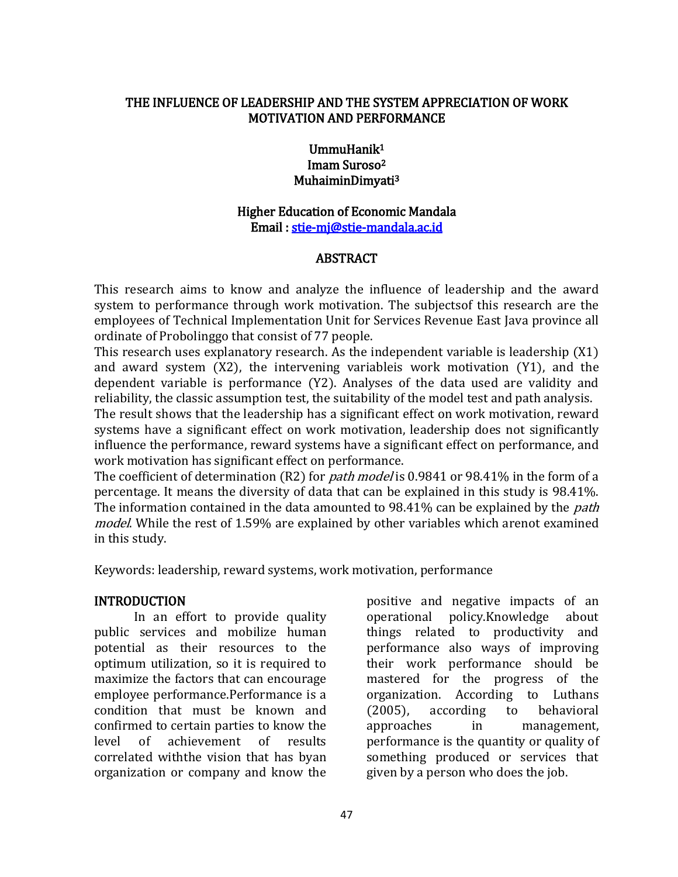#### THE INFLUENCE OF LEADERSHIP AND THE SYSTEM APPRECIATION OF WORK MOTIVATION AND PERFORMANCE

#### UmmuHanik<sup>1</sup> Imam Suroso<sup>2</sup> MuhaiminDimyati<sup>3</sup>

# Higher Education of Economic Mandala Email : [stie-mj@stie-mandala.ac.id](mailto:stie-mj@stie-mandala.ac.id)

### ABSTRACT

This research aims to know and analyze the influence of leadership and the award system to performance through work motivation. The subjectsof this research are the employees of Technical Implementation Unit for Services Revenue East Java province all ordinate of Probolinggo that consist of 77 people.

This research uses explanatory research. As the independent variable is leadership (X1) and award system (X2), the intervening variableis work motivation (Y1), and the dependent variable is performance (Y2). Analyses of the data used are validity and reliability, the classic assumption test, the suitability of the model test and path analysis.

The result shows that the leadership has a significant effect on work motivation, reward systems have a significant effect on work motivation, leadership does not significantly influence the performance, reward systems have a significant effect on performance, and work motivation has significant effect on performance.

The coefficient of determination (R2) for *path model* is 0.9841 or 98.41% in the form of a percentage. It means the diversity of data that can be explained in this study is 98.41%. The information contained in the data amounted to 98.41% can be explained by the *path* model. While the rest of 1.59% are explained by other variables which arenot examined in this study.

Keywords: leadership, reward systems, work motivation, performance

### INTRODUCTION

 In an effort to provide quality public services and mobilize human potential as their resources to the optimum utilization, so it is required to maximize the factors that can encourage employee performance.Performance is a condition that must be known and confirmed to certain parties to know the level of achievement of results correlated withthe vision that has byan organization or company and know the

positive and negative impacts of an operational policy.Knowledge about things related to productivity and performance also ways of improving their work performance should be mastered for the progress of the organization. According to Luthans (2005), according to behavioral approaches in management, performance is the quantity or quality of something produced or services that given by a person who does the job.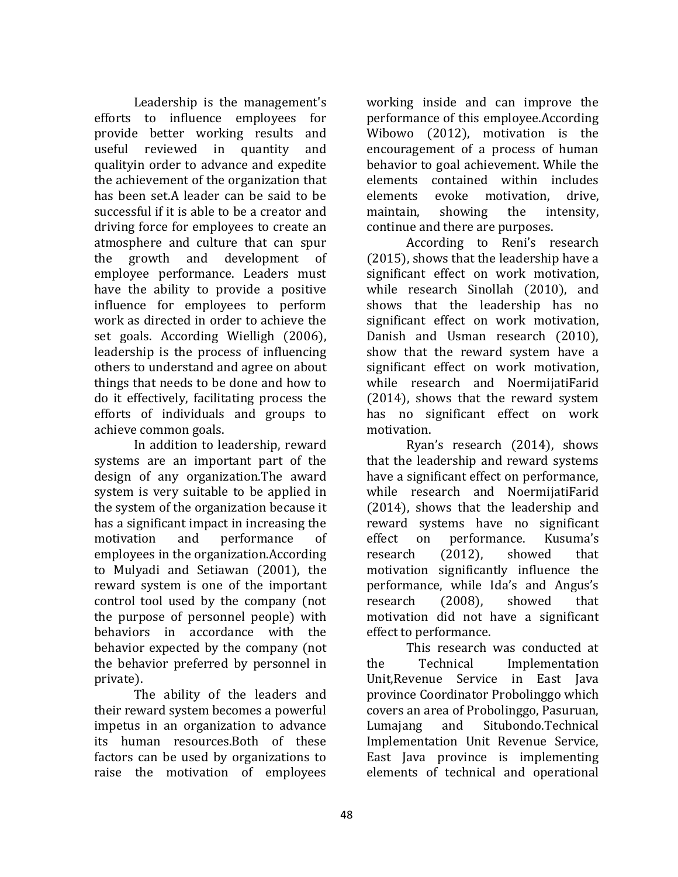Leadership is the management's efforts to influence employees for provide better working results and useful reviewed in quantity and qualityin order to advance and expedite the achievement of the organization that has been set.A leader can be said to be successful if it is able to be a creator and driving force for employees to create an atmosphere and culture that can spur the growth and development of employee performance. Leaders must have the ability to provide a positive influence for employees to perform work as directed in order to achieve the set goals. According Wielligh (2006), leadership is the process of influencing others to understand and agree on about things that needs to be done and how to do it effectively, facilitating process the efforts of individuals and groups to achieve common goals.

In addition to leadership, reward systems are an important part of the design of any organization.The award system is very suitable to be applied in the system of the organization because it has a significant impact in increasing the motivation and performance of employees in the organization.According to Mulyadi and Setiawan (2001), the reward system is one of the important control tool used by the company (not the purpose of personnel people) with behaviors in accordance with the behavior expected by the company (not the behavior preferred by personnel in private).

The ability of the leaders and their reward system becomes a powerful impetus in an organization to advance its human resources.Both of these factors can be used by organizations to raise the motivation of employees working inside and can improve the performance of this employee.According Wibowo (2012), motivation is the encouragement of a process of human behavior to goal achievement. While the elements contained within includes elements evoke motivation, drive, maintain, showing the intensity, continue and there are purposes.

According to Reni's research (2015), shows that the leadership have a significant effect on work motivation, while research Sinollah (2010), and shows that the leadership has no significant effect on work motivation, Danish and Usman research (2010), show that the reward system have a significant effect on work motivation, while research and NoermijatiFarid (2014), shows that the reward system has no significant effect on work motivation.

Ryan's research (2014), shows that the leadership and reward systems have a significant effect on performance, while research and NoermijatiFarid (2014), shows that the leadership and reward systems have no significant effect on performance. Kusuma's research (2012), showed that motivation significantly influence the performance, while Ida's and Angus's research (2008), showed that motivation did not have a significant effect to performance.

This research was conducted at the Technical Implementation Unit,Revenue Service in East Java province Coordinator Probolinggo which covers an area of Probolinggo, Pasuruan, Lumajang and Situbondo.Technical Implementation Unit Revenue Service, East Java province is implementing elements of technical and operational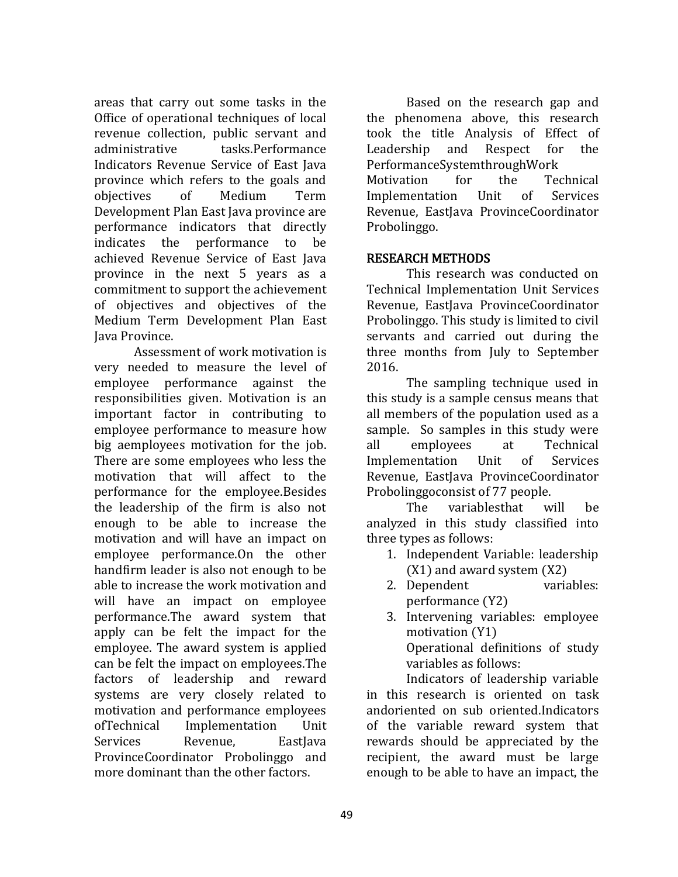areas that carry out some tasks in the Office of operational techniques of local revenue collection, public servant and administrative tasks.Performance Indicators Revenue Service of East Java province which refers to the goals and objectives of Medium Term Development Plan East Java province are performance indicators that directly indicates the performance to be achieved Revenue Service of East Java province in the next 5 years as a commitment to support the achievement of objectives and objectives of the Medium Term Development Plan East Java Province.

Assessment of work motivation is very needed to measure the level of employee performance against the responsibilities given. Motivation is an important factor in contributing to employee performance to measure how big aemployees motivation for the job. There are some employees who less the motivation that will affect to the performance for the employee.Besides the leadership of the firm is also not enough to be able to increase the motivation and will have an impact on employee performance.On the other handfirm leader is also not enough to be able to increase the work motivation and will have an impact on employee performance.The award system that apply can be felt the impact for the employee. The award system is applied can be felt the impact on employees.The factors of leadership and reward systems are very closely related to motivation and performance employees ofTechnical Implementation Unit Services Revenue, Eastlava ProvinceCoordinator Probolinggo and more dominant than the other factors.

Based on the research gap and the phenomena above, this research took the title Analysis of Effect of Leadership and Respect for the PerformanceSystemthroughWork Motivation for the Technical Implementation Unit of Services Revenue, EastJava ProvinceCoordinator Probolinggo.

#### RESEARCH METHODS

 This research was conducted on Technical Implementation Unit Services Revenue, EastJava ProvinceCoordinator Probolinggo. This study is limited to civil servants and carried out during the three months from July to September 2016.

The sampling technique used in this study is a sample census means that all members of the population used as a sample. So samples in this study were all employees at Technical Implementation Unit of Services Revenue, EastJava ProvinceCoordinator Probolinggoconsist of 77 people.

The variablesthat will be analyzed in this study classified into three types as follows:

- 1. Independent Variable: leadership (X1) and award system (X2)
- 2. Dependent variables: performance (Y2)
- 3. Intervening variables: employee motivation (Y1) Operational definitions of study variables as follows:

Indicators of leadership variable in this research is oriented on task andoriented on sub oriented.Indicators of the variable reward system that rewards should be appreciated by the recipient, the award must be large enough to be able to have an impact, the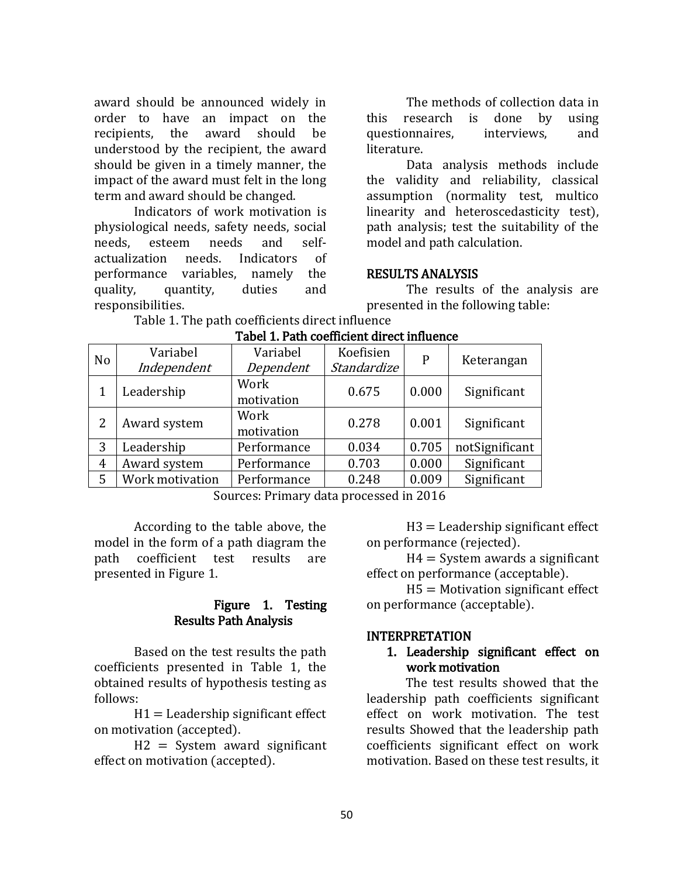award should be announced widely in order to have an impact on the recipients, the award should be understood by the recipient, the award should be given in a timely manner, the impact of the award must felt in the long term and award should be changed.

Indicators of work motivation is physiological needs, safety needs, social needs, esteem needs and selfactualization needs. Indicators of performance variables, namely the quality, quantity, duties and responsibilities.

The methods of collection data in this research is done by using questionnaires, interviews, and literature.

Data analysis methods include the validity and reliability, classical assumption (normality test, multico linearity and heteroscedasticity test), path analysis; test the suitability of the model and path calculation.

#### RESULTS ANALYSIS

 The results of the analysis are presented in the following table:

Table 1. The path coefficients direct influence

| N <sub>o</sub> | Variabel        | Variabel    | Koefisien   | P     | Keterangan     |
|----------------|-----------------|-------------|-------------|-------|----------------|
|                | Independent     | Dependent   | Standardize |       |                |
|                | Leadership      | Work        | 0.675       | 0.000 | Significant    |
|                |                 | motivation  |             |       |                |
| 2              | Award system    | Work        | 0.278       | 0.001 | Significant    |
|                |                 | motivation  |             |       |                |
| 3              | Leadership      | Performance | 0.034       | 0.705 | notSignificant |
| 4              | Award system    | Performance | 0.703       | 0.000 | Significant    |
| 5              | Work motivation | Performance | 0.248       | 0.009 | Significant    |

Tabel 1. Path coefficient direct influence

Sources: Primary data processed in 2016

According to the table above, the model in the form of a path diagram the path coefficient test results are presented in Figure 1.

#### Figure 1. Testing Results Path Analysis

Based on the test results the path coefficients presented in Table 1, the obtained results of hypothesis testing as follows:

 $H1 =$  Leadership significant effect on motivation (accepted).

H2 = System award significant effect on motivation (accepted).

 $H3 =$  Leadership significant effect on performance (rejected).

 $H4 =$  System awards a significant effect on performance (acceptable).

 $H5 =$  Motivation significant effect on performance (acceptable).

#### INTERPRETATION

### 1. Leadership significant effect on work motivation

The test results showed that the leadership path coefficients significant effect on work motivation. The test results Showed that the leadership path coefficients significant effect on work motivation. Based on these test results, it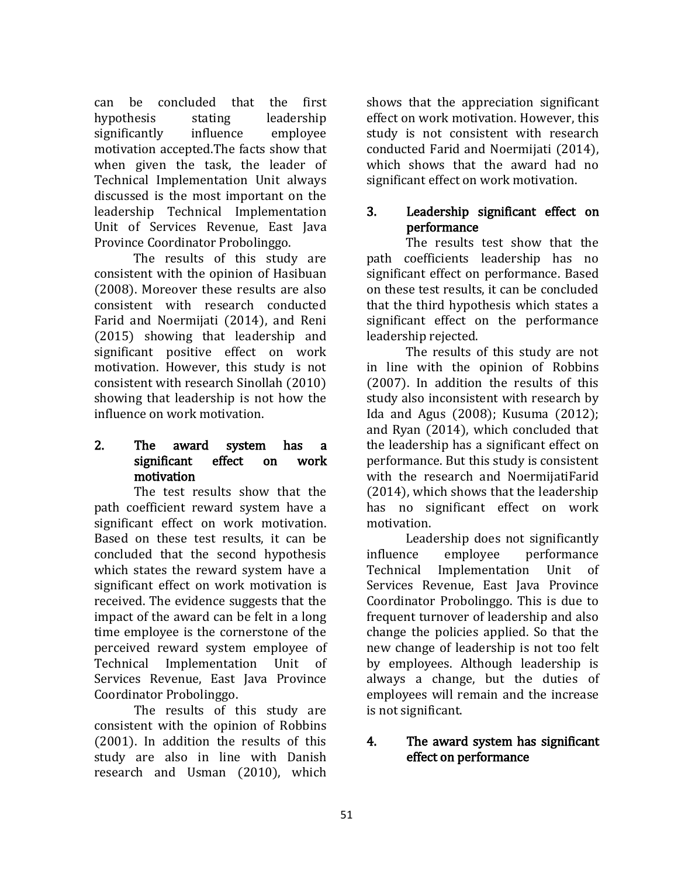can be concluded that the first hypothesis stating leadership significantly influence employee motivation accepted.The facts show that when given the task, the leader of Technical Implementation Unit always discussed is the most important on the leadership Technical Implementation Unit of Services Revenue, East Java Province Coordinator Probolinggo.

The results of this study are consistent with the opinion of Hasibuan (2008). Moreover these results are also consistent with research conducted Farid and Noermijati (2014), and Reni (2015) showing that leadership and significant positive effect on work motivation. However, this study is not consistent with research Sinollah (2010) showing that leadership is not how the influence on work motivation.

### 2. The award system has a significant effect on work motivation

The test results show that the path coefficient reward system have a significant effect on work motivation. Based on these test results, it can be concluded that the second hypothesis which states the reward system have a significant effect on work motivation is received. The evidence suggests that the impact of the award can be felt in a long time employee is the cornerstone of the perceived reward system employee of Technical Implementation Unit of Services Revenue, East Java Province Coordinator Probolinggo.

The results of this study are consistent with the opinion of Robbins (2001). In addition the results of this study are also in line with Danish research and Usman (2010), which shows that the appreciation significant effect on work motivation. However, this study is not consistent with research conducted Farid and Noermijati (2014), which shows that the award had no significant effect on work motivation.

# 3. Leadership significant effect on performance

The results test show that the path coefficients leadership has no significant effect on performance. Based on these test results, it can be concluded that the third hypothesis which states a significant effect on the performance leadership rejected.

The results of this study are not in line with the opinion of Robbins (2007). In addition the results of this study also inconsistent with research by Ida and Agus (2008); Kusuma (2012); and Ryan (2014), which concluded that the leadership has a significant effect on performance. But this study is consistent with the research and NoermijatiFarid (2014), which shows that the leadership has no significant effect on work motivation.

Leadership does not significantly influence employee performance Technical Implementation Unit of Services Revenue, East Java Province Coordinator Probolinggo. This is due to frequent turnover of leadership and also change the policies applied. So that the new change of leadership is not too felt by employees. Although leadership is always a change, but the duties of employees will remain and the increase is not significant.

# 4. The award system has significant effect on performance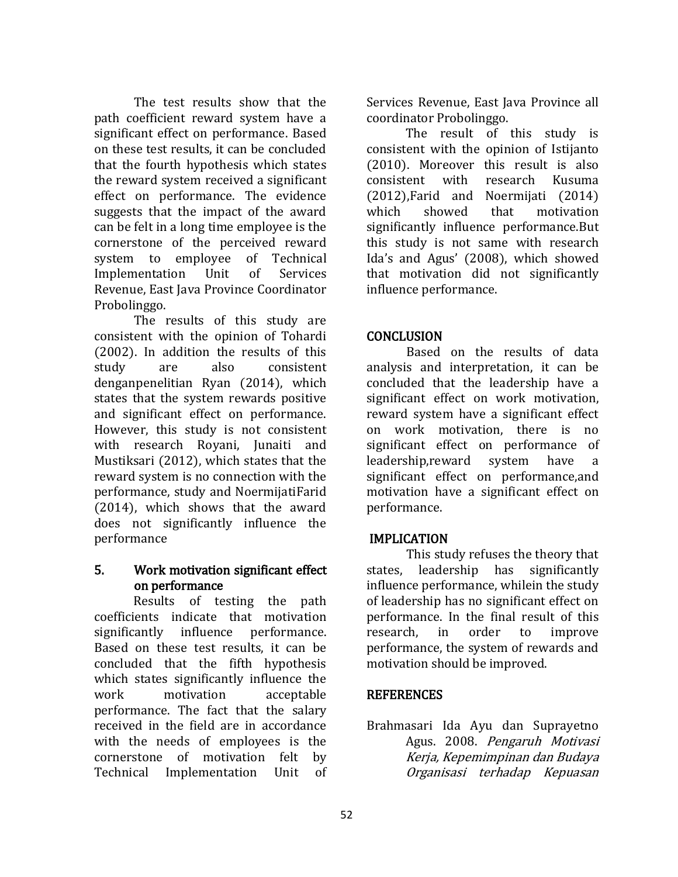The test results show that the path coefficient reward system have a significant effect on performance. Based on these test results, it can be concluded that the fourth hypothesis which states the reward system received a significant effect on performance. The evidence suggests that the impact of the award can be felt in a long time employee is the cornerstone of the perceived reward system to employee of Technical Implementation Unit of Services Revenue, East Java Province Coordinator Probolinggo.

The results of this study are consistent with the opinion of Tohardi (2002). In addition the results of this study are also consistent denganpenelitian Ryan (2014), which states that the system rewards positive and significant effect on performance. However, this study is not consistent with research Royani, Junaiti and Mustiksari (2012), which states that the reward system is no connection with the performance, study and NoermijatiFarid (2014), which shows that the award does not significantly influence the performance

# 5. Work motivation significant effect on performance

Results of testing the path coefficients indicate that motivation significantly influence performance. Based on these test results, it can be concluded that the fifth hypothesis which states significantly influence the work motivation acceptable performance. The fact that the salary received in the field are in accordance with the needs of employees is the cornerstone of motivation felt by Technical Implementation Unit of Services Revenue, East Java Province all coordinator Probolinggo.

The result of this study is consistent with the opinion of Istijanto (2010). Moreover this result is also consistent with research Kusuma (2012),Farid and Noermijati (2014) which showed that motivation significantly influence performance.But this study is not same with research Ida's and Agus' (2008), which showed that motivation did not significantly influence performance.

# **CONCLUSION**

Based on the results of data analysis and interpretation, it can be concluded that the leadership have a significant effect on work motivation, reward system have a significant effect on work motivation, there is no significant effect on performance of leadership,reward system have a significant effect on performance,and motivation have a significant effect on performance.

# IMPLICATION

 This study refuses the theory that states, leadership has significantly influence performance, whilein the study of leadership has no significant effect on performance. In the final result of this research, in order to improve performance, the system of rewards and motivation should be improved.

# **REFERENCES**

Brahmasari Ida Ayu dan Suprayetno Agus. 2008. Pengaruh Motivasi Kerja, Kepemimpinan dan Budaya Organisasi terhadap Kepuasan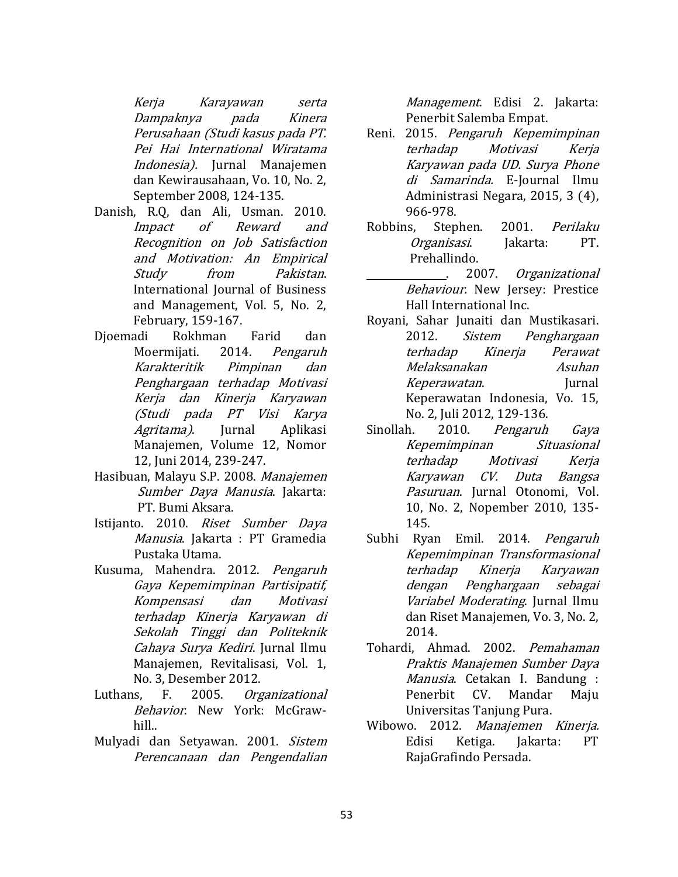Kerja Karayawan serta Dampaknya pada Kinera Perusahaan (Studi kasus pada PT. Pei Hai International Wiratama Indonesia). Jurnal Manajemen dan Kewirausahaan, Vo. 10, No. 2, September 2008, 124-135.

- Danish, R.Q, dan Ali, Usman. 2010. Impact of Reward and Recognition on Job Satisfaction and Motivation: An Empirical Study from Pakistan. International Journal of Business and Management, Vol. 5, No. 2, February, 159-167.
- Djoemadi Rokhman Farid dan Moermijati. 2014. Pengaruh Karakteritik Pimpinan dan Penghargaan terhadap Motivasi Kerja dan Kinerja Karyawan (Studi pada PT Visi Karya Agritama). Jurnal Aplikasi Manajemen, Volume 12, Nomor 12, Juni 2014, 239-247.
- Hasibuan, Malayu S.P. 2008. Manajemen Sumber Daya Manusia. Jakarta: PT. Bumi Aksara.
- Istijanto. 2010. Riset Sumber Daya Manusia. Jakarta : PT Gramedia Pustaka Utama.
- Kusuma, Mahendra. 2012. Pengaruh Gaya Kepemimpinan Partisipatif, Kompensasi dan Motivasi terhadap Kinerja Karyawan di Sekolah Tinggi dan Politeknik Cahaya Surya Kediri. Jurnal Ilmu Manajemen, Revitalisasi, Vol. 1, No. 3, Desember 2012.
- Luthans, F. 2005. Organizational Behavior. New York: McGrawhill..
- Mulyadi dan Setyawan. 2001. Sistem Perencanaan dan Pengendalian

Management. Edisi 2. Jakarta: Penerbit Salemba Empat.

- Reni. 2015. Pengaruh Kepemimpinan terhadap Motivasi Kerja Karyawan pada UD. Surya Phone di Samarinda. E-Journal Ilmu Administrasi Negara, 2015, 3 (4), 966-978.
- Robbins, Stephen. 2001. Perilaku Organisasi. Jakarta: PT. Prehallindo.
	- . 2007. Organizational Behaviour. New Jersey: Prestice Hall International Inc.
- Royani, Sahar Junaiti dan Mustikasari. 2012. Sistem Penghargaan terhadap Kinerja Perawat Melaksanakan Asuhan Keperawatan. Jurnal Keperawatan Indonesia, Vo. 15, No. 2, Juli 2012, 129-136.
- Sinollah. 2010. Pengaruh Gaya Kepemimpinan Situasional terhadap Motivasi Kerja Karyawan CV. Duta Bangsa Pasuruan. Jurnal Otonomi, Vol. 10, No. 2, Nopember 2010, 135- 145.
- Subhi Ryan Emil. 2014. Pengaruh Kepemimpinan Transformasional terhadap Kinerja Karyawan dengan Penghargaan sebagai Variabel Moderating. Jurnal Ilmu dan Riset Manajemen, Vo. 3, No. 2, 2014.
- Tohardi, Ahmad. 2002. Pemahaman Praktis Manajemen Sumber Daya Manusia. Cetakan I. Bandung : Penerbit CV. Mandar Maju Universitas Tanjung Pura.
- Wibowo. 2012. Manajemen Kinerja. Edisi Ketiga. Jakarta: PT RajaGrafindo Persada.